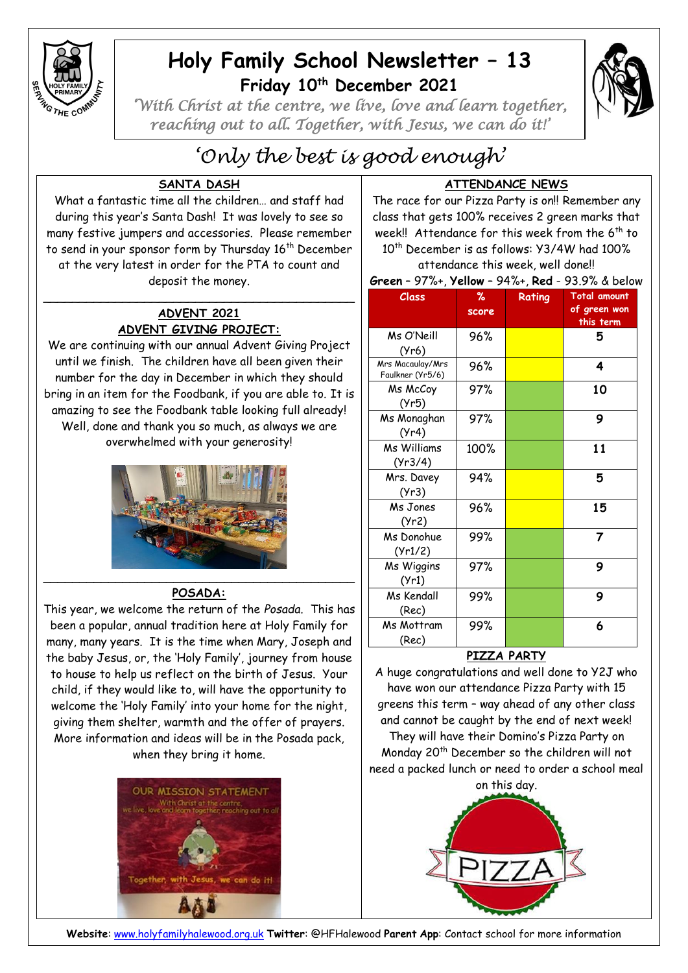

## **Holy Family School Newsletter – 13 Friday 10th December 2021**



*'With Christ at the centre, we live, love and learn together, reaching out to all. Together, with Jesus, we can do it!'* 

# *'Only the best is good enough'*

## **SANTA DASH**

What a fantastic time all the children… and staff had during this year's Santa Dash! It was lovely to see so many festive jumpers and accessories. Please remember to send in your sponsor form by Thursday 16<sup>th</sup> December at the very latest in order for the PTA to count and deposit the money.

#### **ADVENT 2021 ADVENT GIVING PROJECT:**

 $\overline{\phantom{a}}$  , and the contract of the contract of the contract of the contract of the contract of the contract of the contract of the contract of the contract of the contract of the contract of the contract of the contrac

We are continuing with our annual Advent Giving Project until we finish. The children have all been given their number for the day in December in which they should bring in an item for the Foodbank, if you are able to. It is amazing to see the Foodbank table looking full already! Well, done and thank you so much, as always we are overwhelmed with your generosity!



#### **POSADA:**

This year, we welcome the return of the *Posada*. This has been a popular, annual tradition here at Holy Family for many, many years. It is the time when Mary, Joseph and the baby Jesus, or, the 'Holy Family', journey from house to house to help us reflect on the birth of Jesus. Your child, if they would like to, will have the opportunity to welcome the 'Holy Family' into your home for the night, giving them shelter, warmth and the offer of prayers. More information and ideas will be in the Posada pack, when they bring it home.



### **ATTENDANCE NEWS**

The race for our Pizza Party is on!! Remember any class that gets 100% receives 2 green marks that week!! Attendance for this week from the 6<sup>th</sup> to 10<sup>th</sup> December is as follows: Y3/4W had 100%

attendance this week, well done!!

| Class                                | ℅     | Rating | <b>Total amount</b>       |
|--------------------------------------|-------|--------|---------------------------|
|                                      | score |        | of green won<br>this term |
| Ms O'Neill<br>(Yr6)                  | 96%   |        | 5                         |
| Mrs Macaulay/Mrs<br>Faulkner (Yr5/6) | 96%   |        | 4                         |
| Ms McCoy<br>(Yr5)                    | 97%   |        | 10                        |
| Ms Monaghan<br>(Yr4)                 | 97%   |        | 9                         |
| <b>Ms Williams</b><br>(Yr3/4)        | 100%  |        | 11                        |
| Mrs. Davey<br>(Yr3)                  | 94%   |        | 5                         |
| Ms Jones<br>(Yr2)                    | 96%   |        | 15                        |
| Ms Donohue<br>(Yr1/2)                | 99%   |        | 7                         |
| Ms Wiggins<br>(Yr1)                  | 97%   |        | 9                         |
| Ms Kendall<br>(Rec)                  | 99%   |        | 9                         |
| Ms Mottram<br>(Rec)                  | 99%   |        | 6                         |

#### **PIZZA PARTY**

A huge congratulations and well done to Y2J who have won our attendance Pizza Party with 15 greens this term – way ahead of any other class and cannot be caught by the end of next week!

They will have their Domino's Pizza Party on Monday 20th December so the children will not need a packed lunch or need to order a school meal on this day.



**Website**: [www.holyfamilyhalewood.org.uk](http://www.holyfamilyhalewood.org.uk/) **Twitter**: @HFHalewood **Parent App**: Contact school for more information